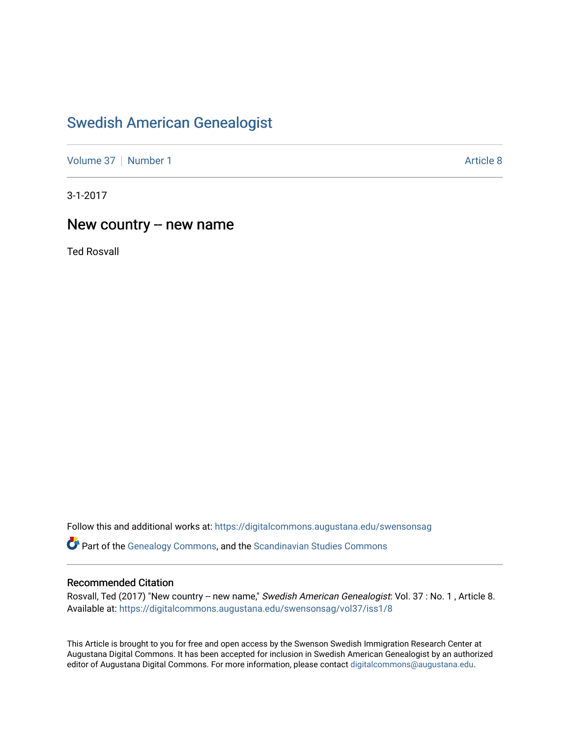# [Swedish American Genealogist](https://digitalcommons.augustana.edu/swensonsag)

[Volume 37](https://digitalcommons.augustana.edu/swensonsag/vol37) | [Number 1](https://digitalcommons.augustana.edu/swensonsag/vol37/iss1) Article 8

3-1-2017

# New country -- new name

Ted Rosvall

Follow this and additional works at: [https://digitalcommons.augustana.edu/swensonsag](https://digitalcommons.augustana.edu/swensonsag?utm_source=digitalcommons.augustana.edu%2Fswensonsag%2Fvol37%2Fiss1%2F8&utm_medium=PDF&utm_campaign=PDFCoverPages) 

**C** Part of the [Genealogy Commons,](http://network.bepress.com/hgg/discipline/1342?utm_source=digitalcommons.augustana.edu%2Fswensonsag%2Fvol37%2Fiss1%2F8&utm_medium=PDF&utm_campaign=PDFCoverPages) and the [Scandinavian Studies Commons](http://network.bepress.com/hgg/discipline/485?utm_source=digitalcommons.augustana.edu%2Fswensonsag%2Fvol37%2Fiss1%2F8&utm_medium=PDF&utm_campaign=PDFCoverPages)

#### Recommended Citation

Rosvall, Ted (2017) "New country -- new name," Swedish American Genealogist: Vol. 37 : No. 1, Article 8. Available at: [https://digitalcommons.augustana.edu/swensonsag/vol37/iss1/8](https://digitalcommons.augustana.edu/swensonsag/vol37/iss1/8?utm_source=digitalcommons.augustana.edu%2Fswensonsag%2Fvol37%2Fiss1%2F8&utm_medium=PDF&utm_campaign=PDFCoverPages) 

This Article is brought to you for free and open access by the Swenson Swedish Immigration Research Center at Augustana Digital Commons. It has been accepted for inclusion in Swedish American Genealogist by an authorized editor of Augustana Digital Commons. For more information, please contact [digitalcommons@augustana.edu.](mailto:digitalcommons@augustana.edu)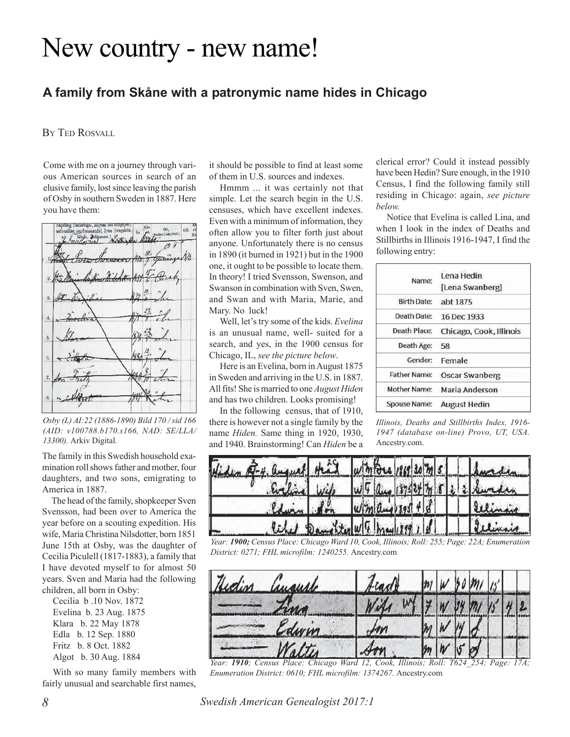# New country - new name!

# **A family from Skåne with a patronymic name hides in Chicago**

BY TED ROSVALL

Come with me on a journey through various American sources in search of an elusive family, lost since leaving the parish of Osby in southern Sweden in 1887. Here you have them:



*Osby (L) AI:22 (1886-1890) Bild 170 / sid 166 (AID: v100788.b170.s166, NAD: SE/LLA/ 13300).* Arkiv Digital*.*

The family in this Swedish household examination roll shows father and mother, four daughters, and two sons, emigrating to America in 1887.

The head of the family, shopkeeper Sven Svensson, had been over to America the year before on a scouting expedition. His wife, Maria Christina Nilsdotter, born 1851 June 15th at Osby, was the daughter of Cecilia Piculell (1817-1883), a family that I have devoted myself to for almost 50 years. Sven and Maria had the following children, all born in Osby:

Cecilia b .10 Nov. 1872 Evelina b. 23 Aug. 1875 Klara b. 22 May 1878 Edla b. 12 Sep. 1880 Fritz b. 8 Oct. 1882 Algot b. 30 Aug. 1884

With so many family members with fairly unusual and searchable first names, it should be possible to find at least some of them in U.S. sources and indexes.

Hmmm ... it was certainly not that simple. Let the search begin in the U.S. censuses, which have excellent indexes. Even with a minimum of information, they often allow you to filter forth just about anyone. Unfortunately there is no census in 1890 (it burned in 1921) but in the 1900 one, it ought to be possible to locate them. In theory! I tried Svensson, Swenson, and Swanson in combination with Sven, Swen, and Swan and with Maria, Marie, and Mary. No luck!

Well, let's try some of the kids. *Evelina* is an unusual name, well- suited for a search, and yes, in the 1900 census for Chicago, IL, *see the picture below*.

Here is an Evelina, born in August 1875 in Sweden and arriving in the U.S. in 1887. All fits! She is married to one *August Hiden* and has two children. Looks promising!

In the following census, that of 1910, there is however not a single family by the name *Hiden.* Same thing in 1920, 1930, and 1940. Brainstorming! Can *Hiden* be a

clerical error? Could it instead possibly have been Hedin? Sure enough, in the 1910 Census, I find the following family still residing in Chicago: again, *see picture below.*

Notice that Evelina is called Lina, and when I look in the index of Deaths and Stillbirths in Illinois 1916-1947, I find the following entry:

| Name:               | Lena Hedin              |
|---------------------|-------------------------|
|                     | [Lena Swanberg]         |
| <b>Birth Date:</b>  | abt 1875                |
| Death Date:         | 16 Dec 1933             |
| Death Place:        | Chicago, Cook, Illinois |
| Death Age:          | 58                      |
| Gender:             | Female                  |
| <b>Father Name:</b> | <b>Oscar Swanberg</b>   |
| <b>Mother Name:</b> | Maria Anderson          |
| <b>Spouse Name:</b> | <b>August Hedin</b>     |

*Illinois, Deaths and Stillbirths Index, 1916- 1947 (database on-line) Provo, UT, USA.* Ancestry.com.



*Year: 1900; Census Place: Chicago Ward 10, Cook, Illinois; Roll: 255; Page: 22A; Enumeration District: 0271; FHL microfilm: 1240255.* Ancestry.com

| Hidin<br>auguste | Fradt     |  |  | 1/3 |  |
|------------------|-----------|--|--|-----|--|
|                  |           |  |  |     |  |
| dwin             | <b>HM</b> |  |  |     |  |
| Naltis           |           |  |  |     |  |

*Year: 1910; Census Place: Chicago Ward 12, Cook, Illinois; Roll: T624\_254; Page: 17A; Enumeration District: 0610; FHL microfilm: 1374267.* Ancestry.com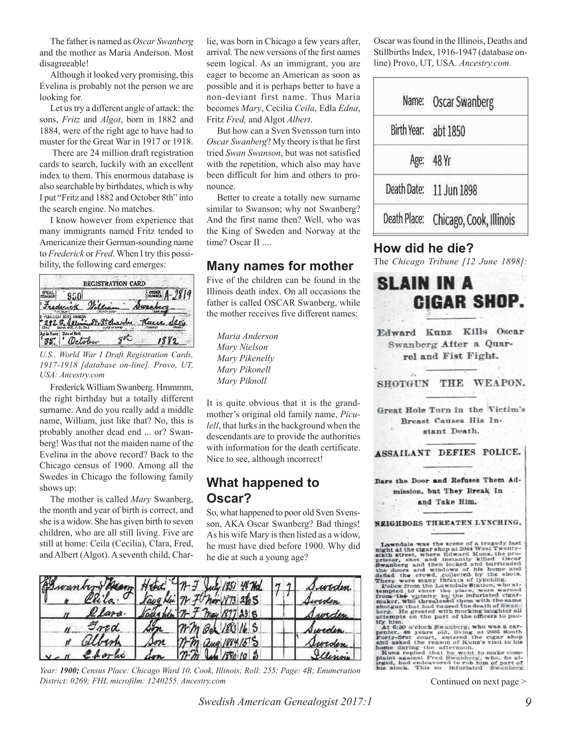The father is named as *Oscar Swanberg* and the mother as Maria Anderson. Most disagreeable!

Although it looked very promising, this Evelina is probably not the person we are looking for.

Let us try a different angle of attack: the sons, *Fritz* and *Algot*, born in 1882 and 1884, were of the right age to have had to muster for the Great War in 1917 or 1918.

 There are 24 million draft registration cards to search, luckily with an excellent index to them. This enormous database is also searchable by birthdates, which is why I put "Fritz and 1882 and October 8th" into the search engine. No matches.

I know however from experience that many immigrants named Fritz tended to Americanize their German-sounding name to *Frederick* or *Fred*. When I try this possibility, the following card emerges:



*U.S., World War I Draft Registration Cards, 1917-1918 [database on-line]. Provo, UT, USA: Ancestry.com*

Frederick William Swanberg. Hmmmm, the right birthday but a totally different surname. And do you really add a middle name, William, just like that? No, this is probably another dead end ... or? Swanberg! Was that not the maiden name of the Evelina in the above record? Back to the Chicago census of 1900. Among all the Swedes in Chicago the following family shows up:

The mother is called *Mary* Swanberg, the month and year of birth is correct, and she is a widow. She has given birth to seven children, who are all still living. Five are still at home: Ceila (Cecilia), Clara, Fred, and Albert (Algot). A seventh child, Chararrival. The new versions of the first names seem logical. As an immigrant, you are eager to become an American as soon as possible and it is perhaps better to have a non-deviant first name. Thus Maria becomes *Mary*, Cecilia *Ceila*, Edla *Edna*, Fritz *Fred,* and Algot *Albert*. lie, was born in Chicago a few years after, Oscar was found in the Illinois, Deaths and

But how can a Sven Svensson turn into *Oscar Swanberg*? My theory is that he first tried *Swan Swanson*, but was not satisfied with the repetition, which also may have been difficult for him and others to pronounce.

Better to create a totally new surname similar to Swanson; why not Swanberg? And the first name then? Well, who was the King of Sweden and Norway at the time? Oscar II ....

## **Many names for mother**

Five of the children can be found in the Illinois death index. On all occasions the father is called OSCAR Swanberg, while the mother receives five different names:

*Maria Anderson Mary Nielson Mary Pikenelly Mary Pikonell Mary Piknoll*

It is quite obvious that it is the grandmother's original old family name, *Piculell*, that lurks in the background when the descendants are to provide the authorities with information for the death certificate. Nice to see, although incorrect!

# **What happened to Oscar?**

So, what happened to poor old Sven Svensson, AKA Oscar Swanberg? Bad things! As his wife Mary is then listed as a widow, he must have died before 1900. Why did he die at such a young age?



*Year: 1900; Census Place: Chicago Ward 10, Cook, Illinois; Roll: 255; Page: 4B; Enumeration District: 0269; FHL microfilm: 1240255. Ancestry.com*

Stillbirths Index, 1916-1947 (database online) Provo, UT, USA. *Ancestry.com.*

| Name: Oscar Swanberg                 |
|--------------------------------------|
| Birth Year: abt 1850                 |
| Age: 48 Yr                           |
| Death Date: 11 Jun 1898              |
| Death Place: Chicago, Cook, Illinois |

## **How did he die?**

The *Chicago Tribune [12 June 1898]:*